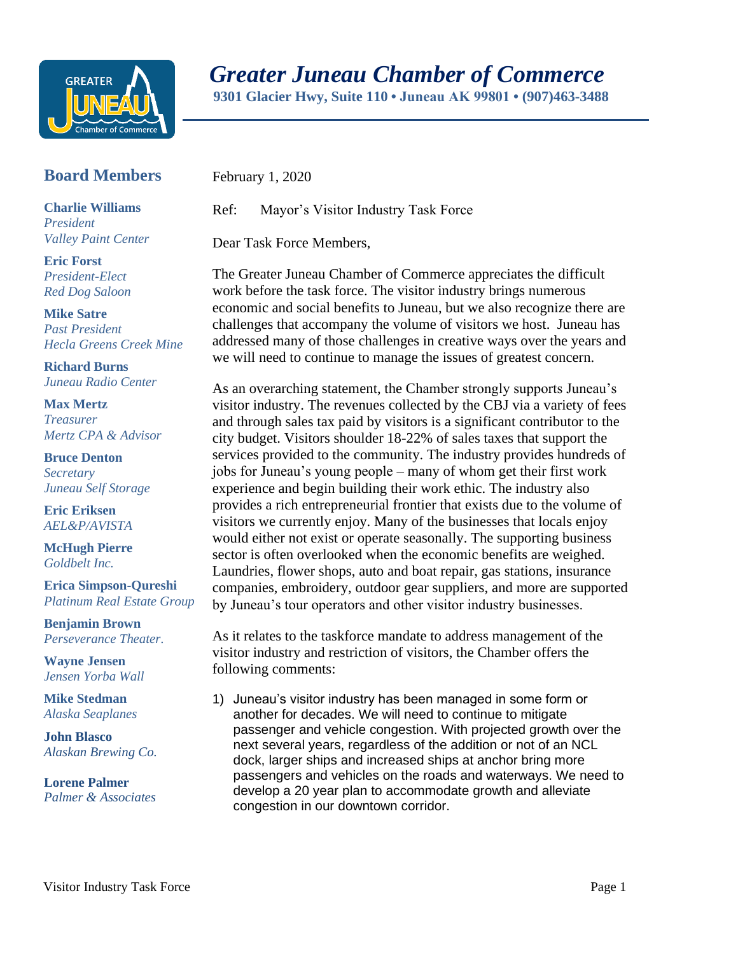

## *Greater Juneau Chamber of Commerce*

 **9301 Glacier Hwy, Suite 110 • Juneau AK 99801 • (907)463-3488** 

## **Board Members**

**Charlie Williams** *President Valley Paint Center*

**Eric Forst** *President-Elect Red Dog Saloon*

**Mike Satre**  *Past President Hecla Greens Creek Mine*

**Richard Burns** *Juneau Radio Center*

**Max Mertz** *Treasurer Mertz CPA & Advisor*

**Bruce Denton** *Secretary Juneau Self Storage*

**Eric Eriksen** *AEL&P/AVISTA*

**McHugh Pierre** *Goldbelt Inc.*

**Erica Simpson-Qureshi** *Platinum Real Estate Group*

**Benjamin Brown** *Perseverance Theater.*

**Wayne Jensen** *Jensen Yorba Wall*

**Mike Stedman** *Alaska Seaplanes*

**John Blasco** *Alaskan Brewing Co.*

**Lorene Palmer** *Palmer & Associates*  February 1, 2020

Ref: Mayor's Visitor Industry Task Force

Dear Task Force Members,

The Greater Juneau Chamber of Commerce appreciates the difficult work before the task force. The visitor industry brings numerous economic and social benefits to Juneau, but we also recognize there are challenges that accompany the volume of visitors we host. Juneau has addressed many of those challenges in creative ways over the years and we will need to continue to manage the issues of greatest concern.

As an overarching statement, the Chamber strongly supports Juneau's visitor industry. The revenues collected by the CBJ via a variety of fees and through sales tax paid by visitors is a significant contributor to the city budget. Visitors shoulder 18-22% of sales taxes that support the services provided to the community. The industry provides hundreds of jobs for Juneau's young people – many of whom get their first work experience and begin building their work ethic. The industry also provides a rich entrepreneurial frontier that exists due to the volume of visitors we currently enjoy. Many of the businesses that locals enjoy would either not exist or operate seasonally. The supporting business sector is often overlooked when the economic benefits are weighed. Laundries, flower shops, auto and boat repair, gas stations, insurance companies, embroidery, outdoor gear suppliers, and more are supported by Juneau's tour operators and other visitor industry businesses.

As it relates to the taskforce mandate to address management of the visitor industry and restriction of visitors, the Chamber offers the following comments:

1) Juneau's visitor industry has been managed in some form or another for decades. We will need to continue to mitigate passenger and vehicle congestion. With projected growth over the next several years, regardless of the addition or not of an NCL dock, larger ships and increased ships at anchor bring more passengers and vehicles on the roads and waterways. We need to develop a 20 year plan to accommodate growth and alleviate congestion in our downtown corridor.